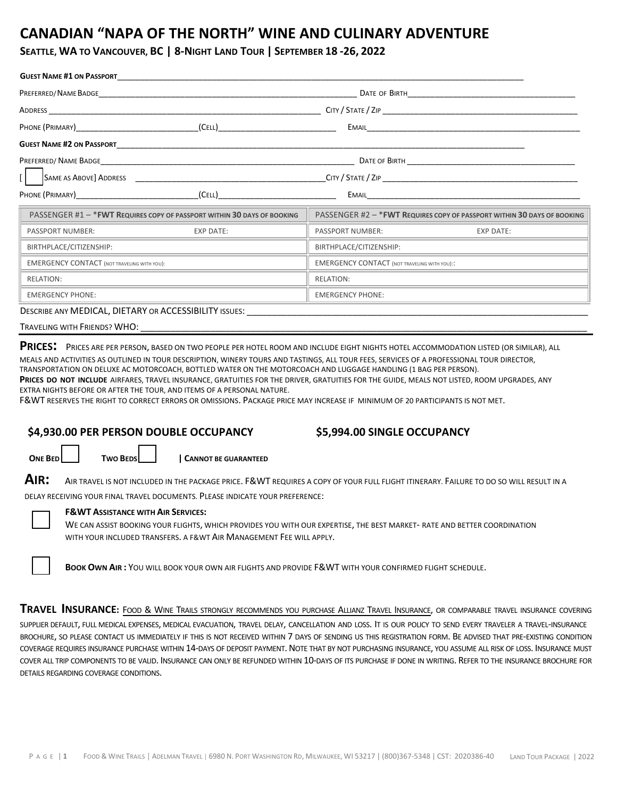# **CANADIAN "NAPA OF THE NORTH" WINE AND CULINARY ADVENTURE**

### SEATTLE, WA TO VANCOUVER, BC | 8-NIGHT LAND TOUR | SEPTEMBER 18-26, 2022

|                                                                                                                                                                                                                               | <b>GUEST NAME #1 ON PASSPORT STATE</b>                                   |                                                                                                                                                                                                                               |                                                                          |
|-------------------------------------------------------------------------------------------------------------------------------------------------------------------------------------------------------------------------------|--------------------------------------------------------------------------|-------------------------------------------------------------------------------------------------------------------------------------------------------------------------------------------------------------------------------|--------------------------------------------------------------------------|
| PREFERRED/ NAME BADGE                                                                                                                                                                                                         |                                                                          |                                                                                                                                                                                                                               |                                                                          |
|                                                                                                                                                                                                                               |                                                                          |                                                                                                                                                                                                                               |                                                                          |
|                                                                                                                                                                                                                               |                                                                          |                                                                                                                                                                                                                               |                                                                          |
|                                                                                                                                                                                                                               |                                                                          |                                                                                                                                                                                                                               |                                                                          |
|                                                                                                                                                                                                                               |                                                                          |                                                                                                                                                                                                                               |                                                                          |
|                                                                                                                                                                                                                               |                                                                          |                                                                                                                                                                                                                               | $C$ ITY / STATE / ZIP $\_\_\_\_\_\_\_\_\_\_\_$                           |
|                                                                                                                                                                                                                               |                                                                          |                                                                                                                                                                                                                               |                                                                          |
|                                                                                                                                                                                                                               | PASSENGER #1 - * FWT REQUIRES COPY OF PASSPORT WITHIN 30 DAYS OF BOOKING |                                                                                                                                                                                                                               | PASSENGER #2 - * FWT REQUIRES COPY OF PASSPORT WITHIN 30 DAYS OF BOOKING |
| PASSPORT NUMBER: NORTH THE STATE OF THE STATE OF THE STATE OF THE STATE OF THE STATE OF THE STATE OF THE STATE OF THE STATE OF THE STATE OF THE STATE OF THE STATE OF THE STATE OF THE STATE OF THE STATE OF THE STATE OF THE | EXP DATE:                                                                | PASSPORT NUMBER: The contract of the contract of the contract of the contract of the contract of the contract of the contract of the contract of the contract of the contract of the contract of the contract of the contract | EXP DATE:                                                                |
| BIRTHPLACE/CITIZENSHIP:                                                                                                                                                                                                       |                                                                          | BIRTHPLACE/CITIZENSHIP:                                                                                                                                                                                                       |                                                                          |
| <b>EMERGENCY CONTACT (NOT TRAVELING WITH YOU):</b>                                                                                                                                                                            |                                                                          | <b>EMERGENCY CONTACT (NOT TRAVELING WITH YOU)::</b>                                                                                                                                                                           |                                                                          |
| <b>RELATION:</b>                                                                                                                                                                                                              |                                                                          | RELATION:                                                                                                                                                                                                                     |                                                                          |
| <b>EMERGENCY PHONE:</b>                                                                                                                                                                                                       |                                                                          | <b>EMERGENCY PHONE:</b>                                                                                                                                                                                                       |                                                                          |
|                                                                                                                                                                                                                               |                                                                          |                                                                                                                                                                                                                               |                                                                          |

DESCRIBE ANY MEDICAL, DIETARY OR ACCESSIBILITY ISSUES:

| TRAVELING WITH FRIENDS? WHO: |  |
|------------------------------|--|
|                              |  |

**PRICES:** <sup>P</sup>RICES ARE PER PERSON, BASED ON TWO PEOPLE PER HOTEL ROOM AND INCLUDE EIGHT NIGHTS HOTEL ACCOMMODATION LISTED (OR SIMILAR), ALL MEALS AND ACTIVITIES AS OUTLINED IN TOUR DESCRIPTION, WINERY TOURS AND TASTINGS, ALL TOUR FEES, SERVICES OF A PROFESSIONAL TOUR DIRECTOR,

TRANSPORTATION ON DELUXE AC MOTORCOACH, BOTTLED WATER ON THE MOTORCOACH AND LUGGAGE HANDLING (1 BAG PER PERSON).

**PRICES DO NOT INCLUDE** AIRFARES, TRAVEL INSURANCE, GRATUITIES FOR THE DRIVER, GRATUITIES FOR THE GUIDE, MEALS NOT LISTED, ROOM UPGRADES, ANY EXTRA NIGHTS BEFORE OR AFTER THE TOUR, AND ITEMS OF A PERSONAL NATURE.

F&WT RESERVES THE RIGHT TO CORRECT ERRORS OR OMISSIONS. PACKAGE PRICE MAY INCREASE IF MINIMUM OF 20 PARTICIPANTS IS NOT MET.

### **\$4,930.00 PER PERSON DOUBLE OCCUPANCY**

### **\$5,994.00 SINGLE OCCUPANCY**

**ONE BED TWO BEDS | CANNOT BE GUARANTEED** 

**AIR:** <sup>A</sup>IR TRAVEL IS NOT INCLUDED IN THE PACKAGE PRICE. F&WT REQUIRES A COPY OF YOUR FULL FLIGHT ITINERARY. FAILURE TO DO SO WILL RESULT IN A

DELAY RECEIVING YOUR FINAL TRAVEL DOCUMENTS. PLEASE INDICATE YOUR PREFERENCE:



**F&WT ASSISTANCE WITH AIR SERVICES:**

WE CAN ASSIST BOOKING YOUR FLIGHTS, WHICH PROVIDES YOU WITH OUR EXPERTISE, THE BEST MARKET‐ RATE AND BETTER COORDINATION WITH YOUR INCLUDED TRANSFERS. A F&WT AIR MANAGEMENT FEE WILL APPLY.

**BOOK OWN AIR :** YOU WILL BOOK YOUR OWN AIR FLIGHTS AND PROVIDE F&WT WITH YOUR CONFIRMED FLIGHT SCHEDULE.

**TRAVEL INSURANCE:** FOOD & WINE TRAILS STRONGLY RECOMMENDS YOU PURCHASE ALLIANZ TRAVEL INSURANCE, OR COMPARABLE TRAVEL INSURANCE COVERING SUPPLIER DEFAULT, FULL MEDICAL EXPENSES, MEDICAL EVACUATION, TRAVEL DELAY, CANCELLATION AND LOSS. IT IS OUR POLICY TO SEND EVERY TRAVELER A TRAVEL‐INSURANCE BROCHURE, SO PLEASE CONTACT US IMMEDIATELY IF THIS IS NOT RECEIVED WITHIN 7 DAYS OF SENDING US THIS REGISTRATION FORM. BE ADVISED THAT PRE-EXISTING CONDITION COVERAGE REQUIRES INSURANCE PURCHASE WITHIN 14-DAYS OF DEPOSIT PAYMENT. NOTE THAT BY NOT PURCHASING INSURANCE, YOU ASSUME ALL RISK OF LOSS. INSURANCE MUST COVER ALL TRIP COMPONENTS TO BE VALID. INSURANCE CAN ONLY BE REFUNDED WITHIN 10‐DAYS OF ITS PURCHASE IF DONE IN WRITING. REFER TO THE INSURANCE BROCHURE FOR DETAILS REGARDING COVERAGE CONDITIONS.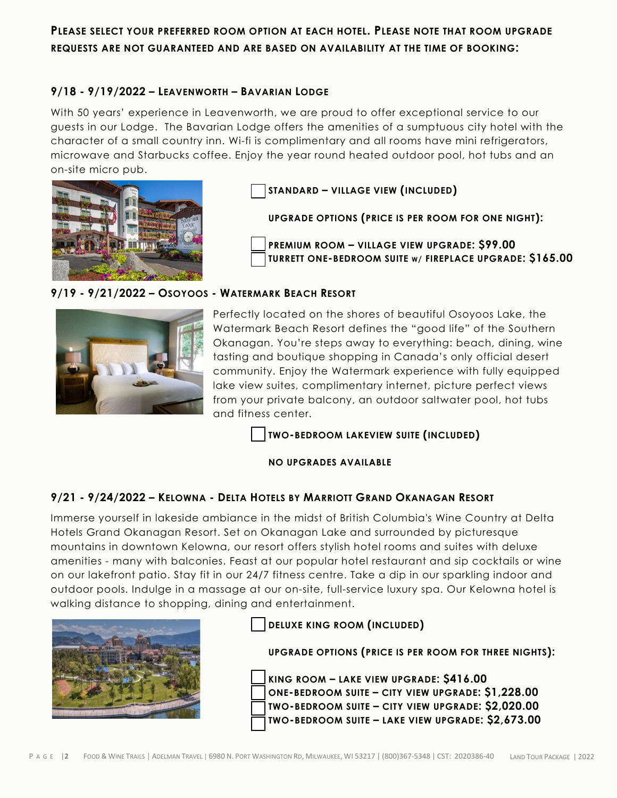## **PLEASE SELECT YOUR PREFERRED ROOM OPTION AT EACH HOTEL. PLEASE NOTE THAT ROOM UPGRADE REQUESTS ARE NOT GUARANTEED AND ARE BASED ON AVAILABILITY AT THE TIME OF BOOKING:**

## **9/18 - 9/19/2022 – LEAVENWORTH – BAVARIAN LODGE**

With 50 years' experience in Leavenworth, we are proud to offer exceptional service to our guests in our Lodge. The Bavarian Lodge offers the amenities of a sumptuous city hotel with the character of a small country inn. Wi-fi is complimentary and all rooms have mini refrigerators, microwave and Starbucks coffee. Enjoy the year round heated outdoor pool, hot tubs and an on-site micro pub.



**STANDARD – VILLAGE VIEW (INCLUDED)** 

**UPGRADE OPTIONS (PRICE IS PER ROOM FOR ONE NIGHT):**

**PREMIUM ROOM – VILLAGE VIEW UPGRADE: \$99.00 TURRETT ONE-BEDROOM SUITE W/ FIREPLACE UPGRADE: \$165.00**

## **9/19 - 9/21/2022 – OSOYOOS - WATERMARK BEACH RESORT**



Perfectly located on the shores of beautiful Osoyoos Lake, the Watermark Beach Resort defines the "good life" of the Southern Okanagan. You're steps away to everything: beach, dining, wine tasting and boutique shopping in Canada's only official desert community. Enjoy the Watermark experience with fully equipped lake view suites, complimentary internet, picture perfect views from your private balcony, an outdoor saltwater pool, hot tubs and fitness center.

**TWO-BEDROOM LAKEVIEW SUITE (INCLUDED)** 

**NO UPGRADES AVAILABLE** 

## **9/21 - 9/24/2022 – KELOWNA - DELTA HOTELS BY MARRIOTT GRAND OKANAGAN RESORT**

Immerse yourself in lakeside ambiance in the midst of British Columbia's Wine Country at Delta Hotels Grand Okanagan Resort. Set on Okanagan Lake and surrounded by picturesque mountains in downtown Kelowna, our resort offers stylish hotel rooms and suites with deluxe amenities - many with balconies. Feast at our popular hotel restaurant and sip cocktails or wine on our lakefront patio. Stay fit in our 24/7 fitness centre. Take a dip in our sparkling indoor and outdoor pools. Indulge in a massage at our on-site, full-service luxury spa. Our Kelowna hotel is walking distance to shopping, dining and entertainment.



**DELUXE KING ROOM (INCLUDED)** 

**UPGRADE OPTIONS (PRICE IS PER ROOM FOR THREE NIGHTS):**

**KING ROOM – LAKE VIEW UPGRADE: \$416.00 ONE-BEDROOM SUITE – CITY VIEW UPGRADE: \$1,228.00 TWO-BEDROOM SUITE – CITY VIEW UPGRADE: \$2,020.00 TWO-BEDROOM SUITE – LAKE VIEW UPGRADE: \$2,673.00**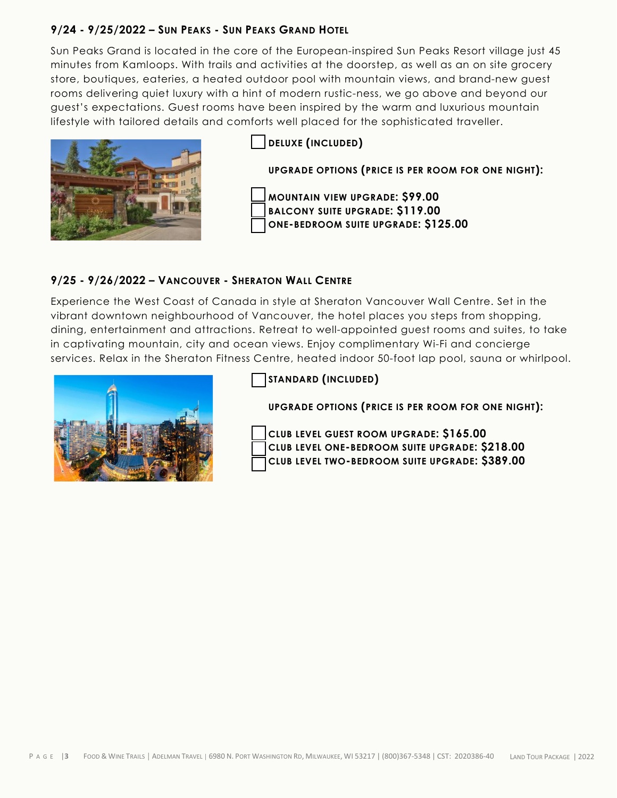## **9/24 - 9/25/2022 – SUN PEAKS - SUN PEAKS GRAND HOTEL**

Sun Peaks Grand is located in the core of the European-inspired Sun Peaks Resort village just 45 minutes from Kamloops. With trails and activities at the doorstep, as well as an on site grocery store, boutiques, eateries, a heated outdoor pool with mountain views, and brand-new guest rooms delivering quiet luxury with a hint of modern rustic-ness, we go above and beyond our guest's expectations. Guest rooms have been inspired by the warm and luxurious mountain lifestyle with tailored details and comforts well placed for the sophisticated traveller.



**DELUXE (INCLUDED) UPGRADE OPTIONS (PRICE IS PER ROOM FOR ONE NIGHT): MOUNTAIN VIEW UPGRADE: \$99.00 BALCONY SUITE UPGRADE: \$119.00 ONE-BEDROOM SUITE UPGRADE: \$125.00**

## **9/25 - 9/26/2022 – VANCOUVER - SHERATON WALL CENTRE**

Experience the West Coast of Canada in style at Sheraton Vancouver Wall Centre. Set in the vibrant downtown neighbourhood of Vancouver, the hotel places you steps from shopping, dining, entertainment and attractions. Retreat to well-appointed guest rooms and suites, to take in captivating mountain, city and ocean views. Enjoy complimentary Wi-Fi and concierge services. Relax in the Sheraton Fitness Centre, heated indoor 50-foot lap pool, sauna or whirlpool.



**STANDARD (INCLUDED)** 

**UPGRADE OPTIONS (PRICE IS PER ROOM FOR ONE NIGHT):** 



**CLUB LEVEL GUEST ROOM UPGRADE: \$165.00 CLUB LEVEL ONE-BEDROOM SUITE UPGRADE: \$218.00 CLUB LEVEL TWO-BEDROOM SUITE UPGRADE: \$389.00**